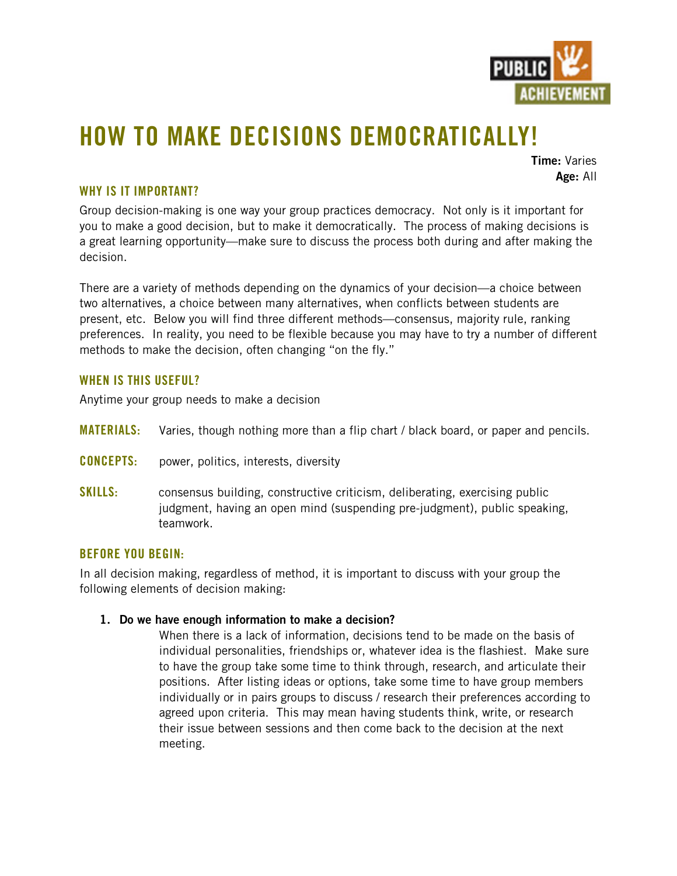

# **HOW TO MAKE DECISIONS DEMOCRATICALLY!**

**Time:** Varies **Age:** All

## **WHY IS IT IMPORTANT?**

Group decision-making is one way your group practices democracy. Not only is it important for you to make a good decision, but to make it democratically. The process of making decisions is a great learning opportunity—make sure to discuss the process both during and after making the decision.

There are a variety of methods depending on the dynamics of your decision—a choice between two alternatives, a choice between many alternatives, when conflicts between students are present, etc. Below you will find three different methods—consensus, majority rule, ranking preferences. In reality, you need to be flexible because you may have to try a number of different methods to make the decision, often changing "on the fly."

## **WHEN IS THIS USEFUL?**

Anytime your group needs to make a decision

- **MATERIALS:** Varies, though nothing more than a flip chart / black board, or paper and pencils.
- **CONCEPTS:** power, politics, interests, diversity
- **SKILLS:** consensus building, constructive criticism, deliberating, exercising public judgment, having an open mind (suspending pre-judgment), public speaking, teamwork.

## **BEFORE YOU BEGIN:**

In all decision making, regardless of method, it is important to discuss with your group the following elements of decision making:

#### **1. Do we have enough information to make a decision?**

When there is a lack of information, decisions tend to be made on the basis of individual personalities, friendships or, whatever idea is the flashiest. Make sure to have the group take some time to think through, research, and articulate their positions. After listing ideas or options, take some time to have group members individually or in pairs groups to discuss / research their preferences according to agreed upon criteria. This may mean having students think, write, or research their issue between sessions and then come back to the decision at the next meeting.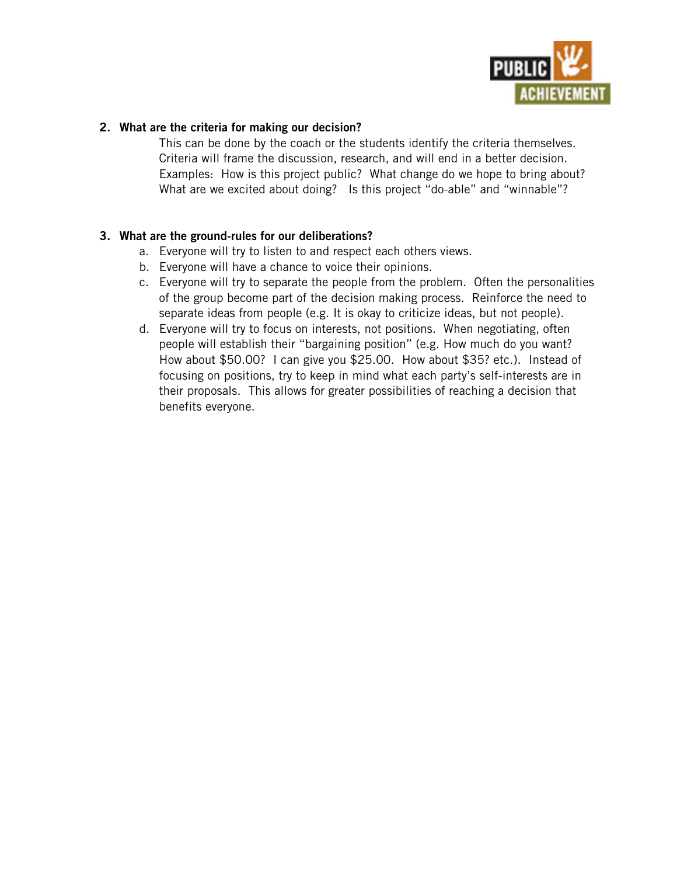

## **2. What are the criteria for making our decision?**

This can be done by the coach or the students identify the criteria themselves. Criteria will frame the discussion, research, and will end in a better decision. Examples: How is this project public? What change do we hope to bring about? What are we excited about doing? Is this project "do-able" and "winnable"?

## **3. What are the ground-rules for our deliberations?**

- a. Everyone will try to listen to and respect each others views.
- b. Everyone will have a chance to voice their opinions.
- c. Everyone will try to separate the people from the problem. Often the personalities of the group become part of the decision making process. Reinforce the need to separate ideas from people (e.g. It is okay to criticize ideas, but not people).
- d. Everyone will try to focus on interests, not positions. When negotiating, often people will establish their "bargaining position" (e.g. How much do you want? How about \$50.00? I can give you \$25.00. How about \$35? etc.). Instead of focusing on positions, try to keep in mind what each party's self-interests are in their proposals. This allows for greater possibilities of reaching a decision that benefits everyone.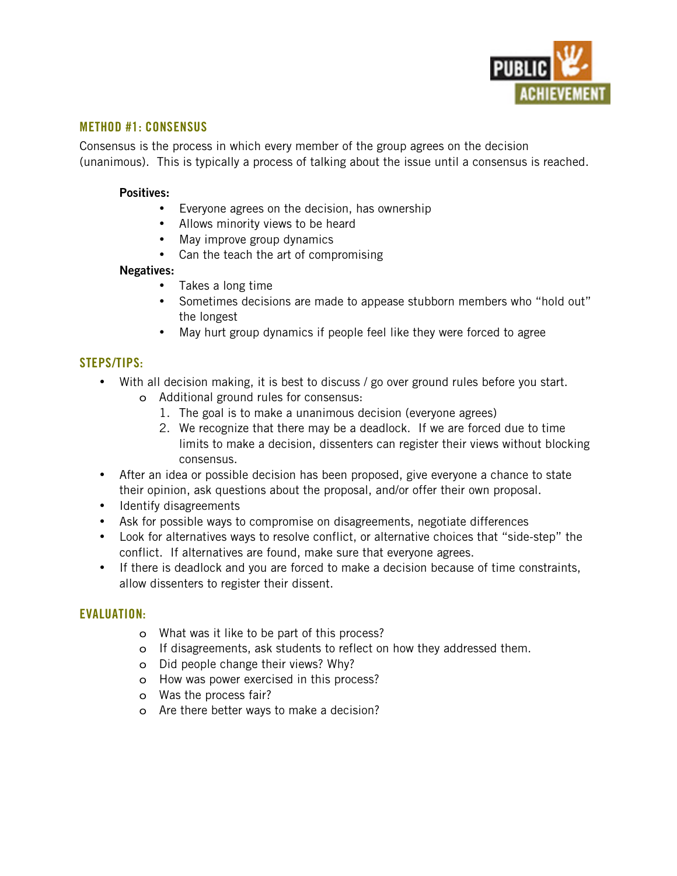

## **METHOD #1: CONSENSUS**

Consensus is the process in which every member of the group agrees on the decision (unanimous). This is typically a process of talking about the issue until a consensus is reached.

#### **Positives:**

Everyone agrees on the decision, has ownership Allows minority views to be heard May improve group dynamics Can the teach the art of compromising

#### **Negatives:**

Takes a long time Sometimes decisions are made to appease stubborn members who "hold out" the longest May hurt group dynamics if people feel like they were forced to agree

#### **STEPS/TIPS:**

With all decision making, it is best to discuss / go over ground rules before you start.

- o Additional ground rules for consensus:
	- 1. The goal is to make a unanimous decision (everyone agrees)
	- 2. We recognize that there may be a deadlock. If we are forced due to time limits to make a decision, dissenters can register their views without blocking consensus.

After an idea or possible decision has been proposed, give everyone a chance to state their opinion, ask questions about the proposal, and/or offer their own proposal. Identify disagreements

Ask for possible ways to compromise on disagreements, negotiate differences Look for alternatives ways to resolve conflict, or alternative choices that "side-step" the conflict. If alternatives are found, make sure that everyone agrees.

If there is deadlock and you are forced to make a decision because of time constraints, allow dissenters to register their dissent.

#### **EVALUATION:**

- o What was it like to be part of this process?
- o If disagreements, ask students to reflect on how they addressed them.
- o Did people change their views? Why?
- o How was power exercised in this process?
- o Was the process fair?
- o Are there better ways to make a decision?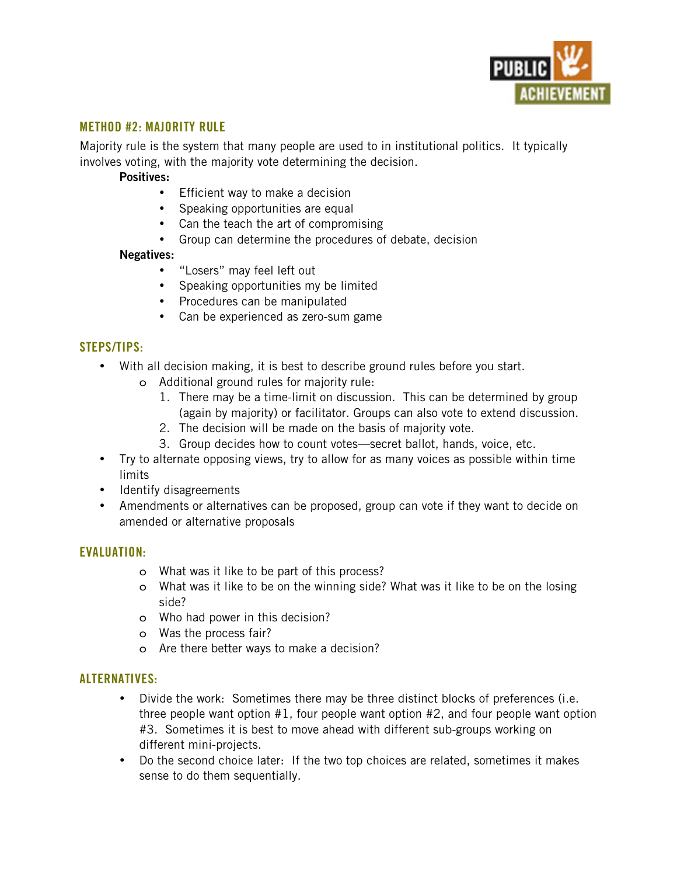

## **METHOD #2: MAJORITY RULE**

Majority rule is the system that many people are used to in institutional politics. It typically involves voting, with the majority vote determining the decision.

#### **Positives:**

Efficient way to make a decision

Speaking opportunities are equal

Can the teach the art of compromising

Group can determine the procedures of debate, decision

#### **Negatives:**

"Losers" may feel left out Speaking opportunities my be limited Procedures can be manipulated Can be experienced as zero-sum game

## **STEPS/TIPS:**

With all decision making, it is best to describe ground rules before you start.

- o Additional ground rules for majority rule:
	- 1. There may be a time-limit on discussion. This can be determined by group (again by majority) or facilitator. Groups can also vote to extend discussion.
	- 2. The decision will be made on the basis of majority vote.
	- 3. Group decides how to count votes—secret ballot, hands, voice, etc.

Try to alternate opposing views, try to allow for as many voices as possible within time limits

Identify disagreements

Amendments or alternatives can be proposed, group can vote if they want to decide on amended or alternative proposals

### **EVALUATION:**

- o What was it like to be part of this process?
- o What was it like to be on the winning side? What was it like to be on the losing side?
- o Who had power in this decision?
- o Was the process fair?
- o Are there better ways to make a decision?

#### **ALTERNATIVES:**

Divide the work: Sometimes there may be three distinct blocks of preferences (i.e. three people want option #1, four people want option #2, and four people want option #3. Sometimes it is best to move ahead with different sub-groups working on different mini-projects.

Do the second choice later: If the two top choices are related, sometimes it makes sense to do them sequentially.